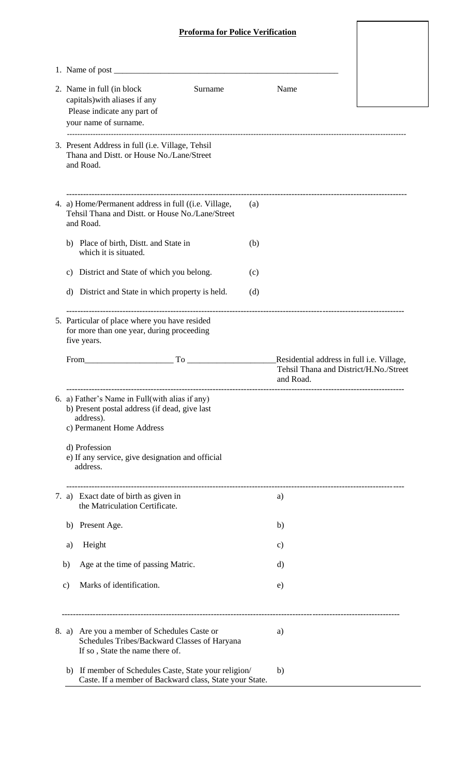## **Proforma for Police Verification**

 $\overline{\phantom{a}}$ 

| 2. Name in full (in block)<br>Surname<br>capitals) with aliases if any<br>Please indicate any part of                                                                                                                                                      | Name      |                                           |
|------------------------------------------------------------------------------------------------------------------------------------------------------------------------------------------------------------------------------------------------------------|-----------|-------------------------------------------|
| your name of surname.                                                                                                                                                                                                                                      |           |                                           |
| 3. Present Address in full (i.e. Village, Tehsil<br>Thana and Distt. or House No./Lane/Street<br>and Road.                                                                                                                                                 |           |                                           |
| 4. a) Home/Permanent address in full ((i.e. Village,<br>Tehsil Thana and Distt. or House No./Lane/Street<br>and Road.                                                                                                                                      | (a)       |                                           |
| b) Place of birth, Distt. and State in<br>which it is situated.                                                                                                                                                                                            | (b)       |                                           |
| c) District and State of which you belong.                                                                                                                                                                                                                 | (c)       |                                           |
| d) District and State in which property is held.                                                                                                                                                                                                           | (d)       |                                           |
| 5. Particular of place where you have resided<br>for more than one year, during proceeding<br>five years.                                                                                                                                                  |           |                                           |
| From <b>Example 2018</b><br>To the contract of the contract of the contract of the contract of the contract of the contract of the contract of the contract of the contract of the contract of the contract of the contract of the contract of the contrac |           | Residential address in full i.e. Village, |
|                                                                                                                                                                                                                                                            | and Road. | Tehsil Thana and District/H.No./Street    |
| 6. a) Father's Name in Full(with alias if any)<br>b) Present postal address (if dead, give last<br>address).<br>c) Permanent Home Address                                                                                                                  |           |                                           |
| d) Profession<br>e) If any service, give designation and official<br>address.                                                                                                                                                                              |           |                                           |
| 7. a) Exact date of birth as given in<br>the Matriculation Certificate.                                                                                                                                                                                    | a)        |                                           |
| Present Age.<br>b)                                                                                                                                                                                                                                         | b)        |                                           |
| Height<br>a)                                                                                                                                                                                                                                               | c)        |                                           |
| Age at the time of passing Matric.<br>b)                                                                                                                                                                                                                   | d)        |                                           |
| Marks of identification.<br>$\mathbf{c})$                                                                                                                                                                                                                  | e)        |                                           |
| 8. a) Are you a member of Schedules Caste or<br>Schedules Tribes/Backward Classes of Haryana<br>If so, State the name there of.                                                                                                                            | a)        |                                           |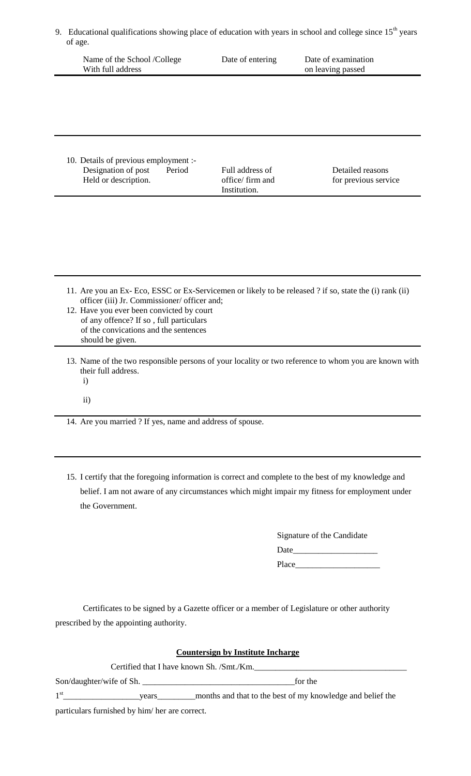9. Educational qualifications showing place of education with years in school and college since  $15<sup>th</sup>$  years of age.

| Name of the School /College<br>With full address | Date of entering | Date of examination<br>on leaving passed |
|--------------------------------------------------|------------------|------------------------------------------|
|                                                  |                  |                                          |
|                                                  |                  |                                          |
|                                                  |                  |                                          |
| 10. Details of previous employment :-            |                  |                                          |

Designation of post Period Full address of Detailed reasons Held or description.  $\qquad \qquad$  office/ firm and for previous service Institution.

| 11. Are you an Ex- Eco, ESSC or Ex-Servicemen or likely to be released ? if so, state the (i) rank (ii)<br>officer (iii) Jr. Commissioner/ officer and;<br>12. Have you ever been convicted by court<br>of any offence? If so, full particulars<br>of the convications and the sentences<br>should be given. |
|--------------------------------------------------------------------------------------------------------------------------------------------------------------------------------------------------------------------------------------------------------------------------------------------------------------|
| 13. Name of the two responsible persons of your locality or two reference to whom you are known with<br>their full address                                                                                                                                                                                   |

- their full address. i)
	-
	- ii)

14. Are you married ? If yes, name and address of spouse.

15. I certify that the foregoing information is correct and complete to the best of my knowledge and belief. I am not aware of any circumstances which might impair my fitness for employment under the Government.

> Signature of the Candidate Date\_\_\_\_\_\_\_\_\_\_\_\_\_\_\_\_\_\_\_\_ Place\_\_\_\_\_

Certificates to be signed by a Gazette officer or a member of Legislature or other authority prescribed by the appointing authority.

| <b>Countersign by Institute Incharge</b><br>Certified that I have known Sh. /Smt./Km. |                                                            |  |  |  |
|---------------------------------------------------------------------------------------|------------------------------------------------------------|--|--|--|
|                                                                                       |                                                            |  |  |  |
| $1^{\rm st}$<br>years                                                                 | months and that to the best of my knowledge and belief the |  |  |  |
| particulars furnished by him/ her are correct.                                        |                                                            |  |  |  |